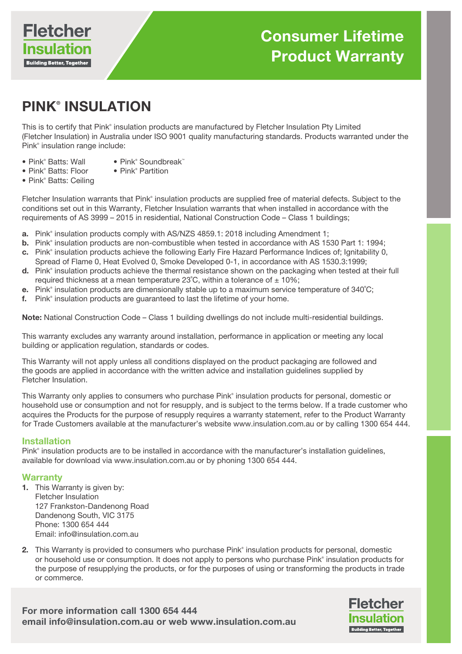

# PINK® INSULATION

This is to certify that Pink® insulation products are manufactured by Fletcher Insulation Pty Limited (Fletcher Insulation) in Australia under ISO 9001 quality manufacturing standards. Products warranted under the Pink® insulation range include:

- Pink® Batts: Wall
- Pink® Soundbreak™ • Pink<sup>®</sup> Partition
- Pink® Batts: Floor • Pink<sup>®</sup> Batts: Ceiling

Fletcher Insulation warrants that Pink® insulation products are supplied free of material defects. Subject to the conditions set out in this Warranty, Fletcher Insulation warrants that when installed in accordance with the requirements of AS 3999 – 2015 in residential, National Construction Code – Class 1 buildings;

- **a.** Pink<sup>®</sup> insulation products comply with AS/NZS 4859.1: 2018 including Amendment 1;
- **b.** Pink<sup>®</sup> insulation products are non-combustible when tested in accordance with AS 1530 Part 1: 1994;
- c. Pink® insulation products achieve the following Early Fire Hazard Performance Indices of; Ignitability 0, Spread of Flame 0, Heat Evolved 0, Smoke Developed 0-1, in accordance with AS 1530.3:1999;
- d. Pink<sup>®</sup> insulation products achieve the thermal resistance shown on the packaging when tested at their full required thickness at a mean temperature 23°C, within a tolerance of  $\pm$  10%;
- e. Pink® insulation products are dimensionally stable up to a maximum service temperature of  $340^{\circ}$ C;
- f. Pink<sup>®</sup> insulation products are guaranteed to last the lifetime of your home.

Note: National Construction Code – Class 1 building dwellings do not include multi-residential buildings.

This warranty excludes any warranty around installation, performance in application or meeting any local building or application regulation, standards or codes.

This Warranty will not apply unless all conditions displayed on the product packaging are followed and the goods are applied in accordance with the written advice and installation guidelines supplied by Fletcher Insulation.

This Warranty only applies to consumers who purchase Pink® insulation products for personal, domestic or household use or consumption and not for resupply, and is subject to the terms below. If a trade customer who acquires the Products for the purpose of resupply requires a warranty statement, refer to the Product Warranty for Trade Customers available at the manufacturer's website www.insulation.com.au or by calling 1300 654 444.

#### Installation

Pink® insulation products are to be installed in accordance with the manufacturer's installation guidelines, available for download via www.insulation.com.au or by phoning 1300 654 444.

#### **Warranty**

- 1. This Warranty is given by: Fletcher Insulation 127 Frankston-Dandenong Road Dandenong South, VIC 3175 Phone: 1300 654 444 Email: info@insulation.com.au
- 2. This Warranty is provided to consumers who purchase Pink® insulation products for personal, domestic or household use or consumption. It does not apply to persons who purchase Pink® insulation products for the purpose of resupplying the products, or for the purposes of using or transforming the products in trade or commerce.

For more information call 1300 654 444 email info@insulation.com.au or web www.insulation.com.au